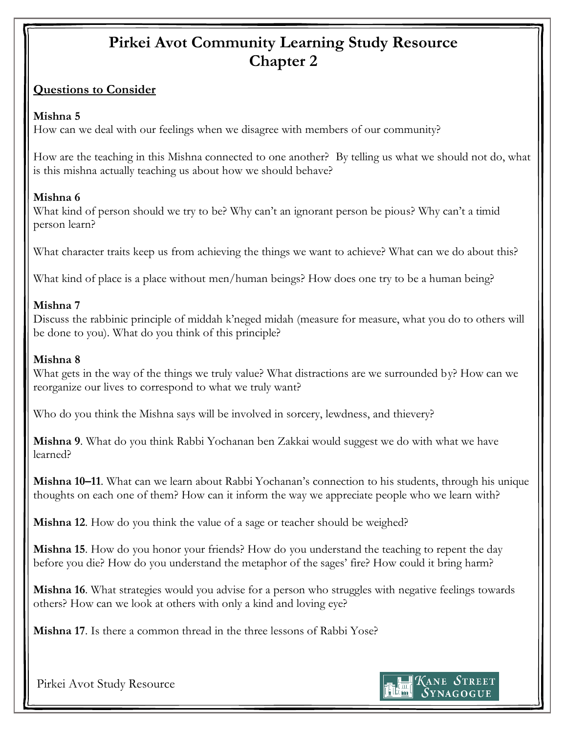# **Pirkei Avot Community Learning Study Resource Chapter 2**

#### **Questions to Consider**

#### **Mishna 5**

How can we deal with our feelings when we disagree with members of our community?

How are the teaching in this Mishna connected to one another? By telling us what we should not do, what is this mishna actually teaching us about how we should behave?

### **Mishna 6**

What kind of person should we try to be? Why can't an ignorant person be pious? Why can't a timid person learn?

What character traits keep us from achieving the things we want to achieve? What can we do about this?

What kind of place is a place without men/human beings? How does one try to be a human being?

## **Mishna 7**

Discuss the rabbinic principle of middah k'neged midah (measure for measure, what you do to others will be done to you). What do you think of this principle?

#### **Mishna 8**

What gets in the way of the things we truly value? What distractions are we surrounded by? How can we reorganize our lives to correspond to what we truly want?

Who do you think the Mishna says will be involved in sorcery, lewdness, and thievery?

**Mishna 9**. What do you think Rabbi Yochanan ben Zakkai would suggest we do with what we have learned?

**Mishna 10–11**. What can we learn about Rabbi Yochanan's connection to his students, through his unique thoughts on each one of them? How can it inform the way we appreciate people who we learn with?

**Mishna 12**. How do you think the value of a sage or teacher should be weighed?

**Mishna 15**. How do you honor your friends? How do you understand the teaching to repent the day before you die? How do you understand the metaphor of the sages' fire? How could it bring harm?

**Mishna 16**. What strategies would you advise for a person who struggles with negative feelings towards others? How can we look at others with only a kind and loving eye?

**Mishna 17**. Is there a common thread in the three lessons of Rabbi Yose?

Pirkei Avot Study Resource